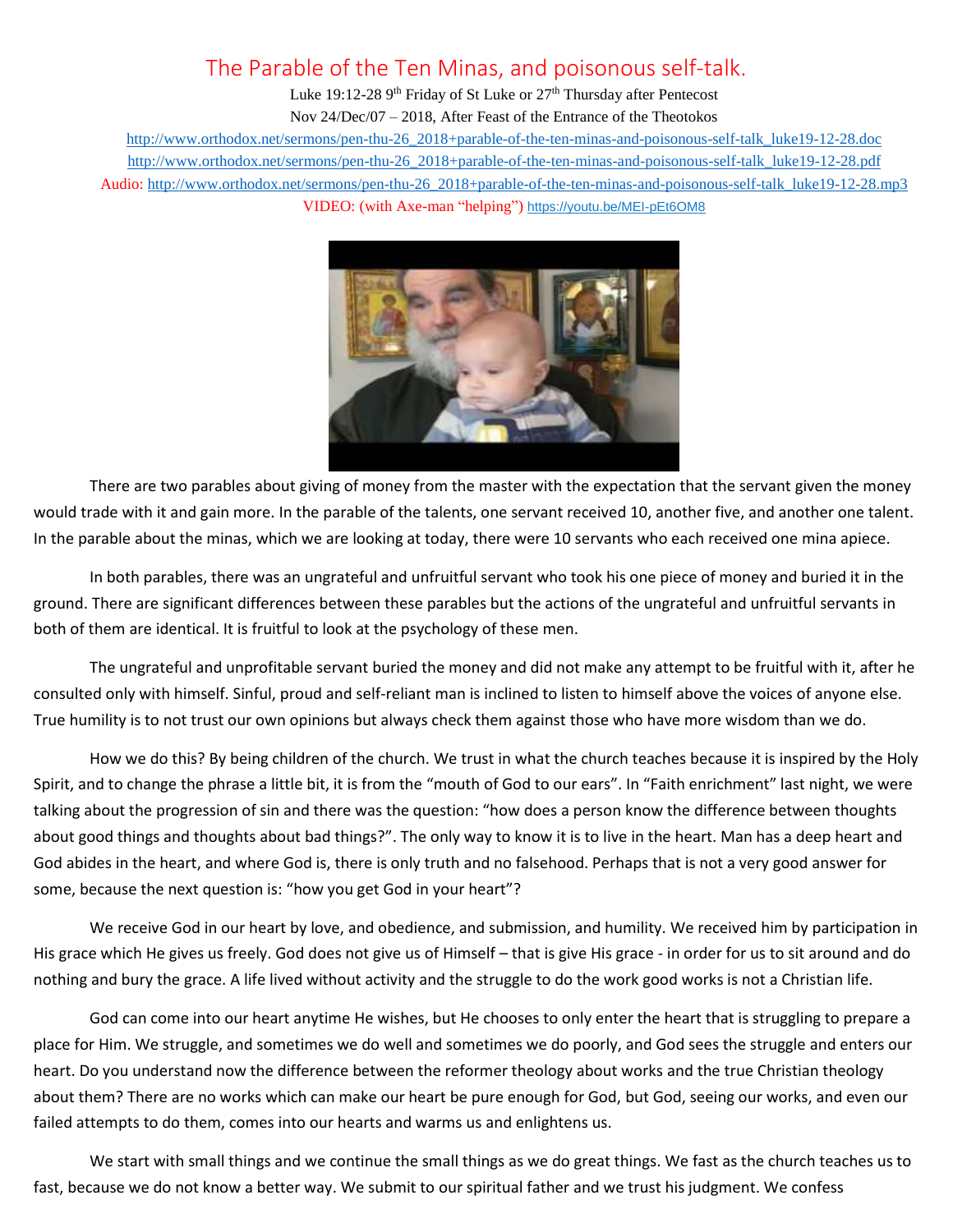## The Parable of the Ten Minas, and poisonous self-talk.

Luke 19:12-28 9<sup>th</sup> Friday of St Luke or 27<sup>th</sup> Thursday after Pentecost Nov 24/Dec/07 – 2018, After Feast of the Entrance of the Theotokos [http://www.orthodox.net/sermons/pen-thu-26\\_2018+parable-of-the-ten-minas-and-poisonous-self-talk\\_luke19-12-28.doc](https://www.orthodox.net//sermons/pen-thu-26_2018+parable-of-the-ten-minas-and-poisonous-self-talk_luke19-12-28.doc) [http://www.orthodox.net/sermons/pen-thu-26\\_2018+parable-of-the-ten-minas-and-poisonous-self-talk\\_luke19-12-28.pdf](https://www.orthodox.net//sermons/pen-thu-26_2018+parable-of-the-ten-minas-and-poisonous-self-talk_luke19-12-28.pdf) Audio: [http://www.orthodox.net/sermons/pen-thu-26\\_2018+parable-of-the-ten-minas-and-poisonous-self-talk\\_luke19-12-28.mp3](https://www.orthodox.net//sermons/pen-thu-26_2018+parable-of-the-ten-minas-and-poisonous-self-talk_luke19-12-28.mp3) VIDEO: (with Axe-man "helping") <https://youtu.be/MEI-pEt6OM8>



There are two parables about giving of money from the master with the expectation that the servant given the money would trade with it and gain more. In the parable of the talents, one servant received 10, another five, and another one talent. In the parable about the minas, which we are looking at today, there were 10 servants who each received one mina apiece.

In both parables, there was an ungrateful and unfruitful servant who took his one piece of money and buried it in the ground. There are significant differences between these parables but the actions of the ungrateful and unfruitful servants in both of them are identical. It is fruitful to look at the psychology of these men.

The ungrateful and unprofitable servant buried the money and did not make any attempt to be fruitful with it, after he consulted only with himself. Sinful, proud and self-reliant man is inclined to listen to himself above the voices of anyone else. True humility is to not trust our own opinions but always check them against those who have more wisdom than we do.

How we do this? By being children of the church. We trust in what the church teaches because it is inspired by the Holy Spirit, and to change the phrase a little bit, it is from the "mouth of God to our ears". In "Faith enrichment" last night, we were talking about the progression of sin and there was the question: "how does a person know the difference between thoughts about good things and thoughts about bad things?". The only way to know it is to live in the heart. Man has a deep heart and God abides in the heart, and where God is, there is only truth and no falsehood. Perhaps that is not a very good answer for some, because the next question is: "how you get God in your heart"?

We receive God in our heart by love, and obedience, and submission, and humility. We received him by participation in His grace which He gives us freely. God does not give us of Himself – that is give His grace - in order for us to sit around and do nothing and bury the grace. A life lived without activity and the struggle to do the work good works is not a Christian life.

God can come into our heart anytime He wishes, but He chooses to only enter the heart that is struggling to prepare a place for Him. We struggle, and sometimes we do well and sometimes we do poorly, and God sees the struggle and enters our heart. Do you understand now the difference between the reformer theology about works and the true Christian theology about them? There are no works which can make our heart be pure enough for God, but God, seeing our works, and even our failed attempts to do them, comes into our hearts and warms us and enlightens us.

We start with small things and we continue the small things as we do great things. We fast as the church teaches us to fast, because we do not know a better way. We submit to our spiritual father and we trust his judgment. We confess